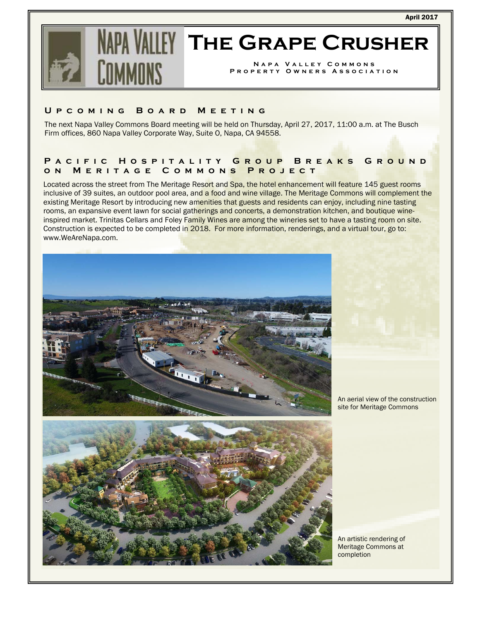

# **WILLY THE GRAPE CRUSHER**

**Napa Valley Commons Property Owners Association** 

#### **Upcoming Board Meeting**

The next Napa Valley Commons Board meeting will be held on Thursday, April 27, 2017, 11:00 a.m. at The Busch Firm offices, 860 Napa Valley Corporate Way, Suite O, Napa, CA 94558.

# **Pacific Hospitality Group Breaks Ground on Meritage Commons Project**

Located across the street from The Meritage Resort and Spa, the hotel enhancement will feature 145 guest rooms inclusive of 39 suites, an outdoor pool area, and a food and wine village. The Meritage Commons will complement the existing Meritage Resort by introducing new amenities that guests and residents can enjoy, including nine tasting rooms, an expansive event lawn for social gatherings and concerts, a demonstration kitchen, and boutique wineinspired market. Trinitas Cellars and Foley Family Wines are among the wineries set to have a tasting room on site. Construction is expected to be completed in 2018. For more information, renderings, and a virtual tour, go to: www.WeAreNapa.com.



An aerial view of the construction site for Meritage Commons



An artistic rendering of Meritage Commons at completion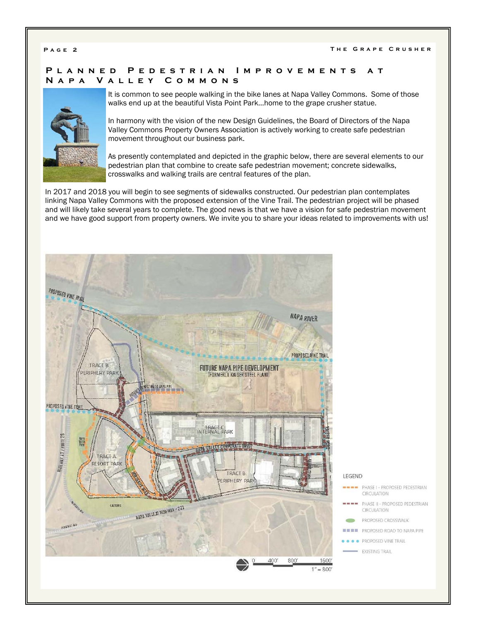# **Planned Pedestrian Improvements at Napa Valley Commons**



It is common to see people walking in the bike lanes at Napa Valley Commons. Some of those walks end up at the beautiful Vista Point Park…home to the grape crusher statue.

In harmony with the vision of the new Design Guidelines, the Board of Directors of the Napa Valley Commons Property Owners Association is actively working to create safe pedestrian movement throughout our business park.

As presently contemplated and depicted in the graphic below, there are several elements to our pedestrian plan that combine to create safe pedestrian movement; concrete sidewalks, crosswalks and walking trails are central features of the plan.

In 2017 and 2018 you will begin to see segments of sidewalks constructed. Our pedestrian plan contemplates linking Napa Valley Commons with the proposed extension of the Vine Trail. The pedestrian project will be phased and will likely take several years to complete. The good news is that we have a vision for safe pedestrian movement and we have good support from property owners. We invite you to share your ideas related to improvements with us!

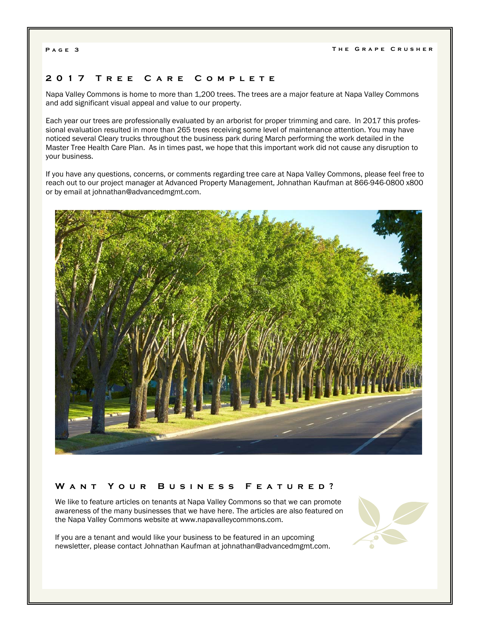### **2017 Tree Care Complete**

Napa Valley Commons is home to more than 1,200 trees. The trees are a major feature at Napa Valley Commons and add significant visual appeal and value to our property.

Each year our trees are professionally evaluated by an arborist for proper trimming and care. In 2017 this professional evaluation resulted in more than 265 trees receiving some level of maintenance attention. You may have noticed several Cleary trucks throughout the business park during March performing the work detailed in the Master Tree Health Care Plan. As in times past, we hope that this important work did not cause any disruption to your business.

If you have any questions, concerns, or comments regarding tree care at Napa Valley Commons, please feel free to reach out to our project manager at Advanced Property Management, Johnathan Kaufman at 866-946-0800 x800 or by email at johnathan@advancedmgmt.com.



### **Want Your Business Featured?**

We like to feature articles on tenants at Napa Valley Commons so that we can promote awareness of the many businesses that we have here. The articles are also featured on the Napa Valley Commons website at www.napavalleycommons.com.

If you are a tenant and would like your business to be featured in an upcoming newsletter, please contact Johnathan Kaufman at johnathan@advancedmgmt.com.